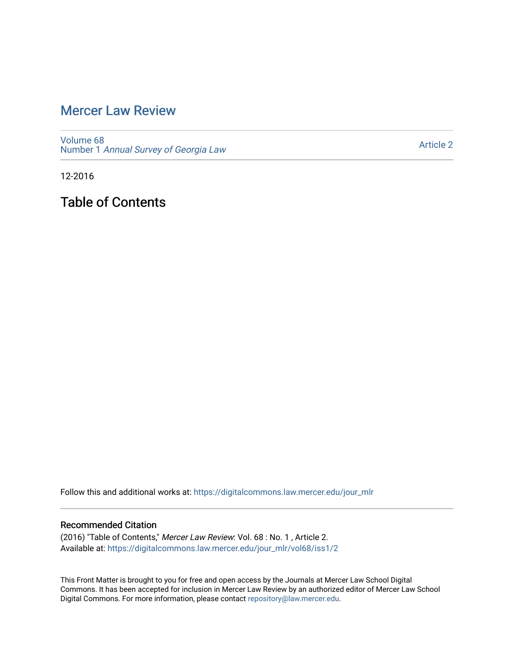# [Mercer Law Review](https://digitalcommons.law.mercer.edu/jour_mlr)

[Volume 68](https://digitalcommons.law.mercer.edu/jour_mlr/vol68) Number 1 [Annual Survey of Georgia Law](https://digitalcommons.law.mercer.edu/jour_mlr/vol68/iss1) 

[Article 2](https://digitalcommons.law.mercer.edu/jour_mlr/vol68/iss1/2) 

12-2016

Table of Contents

Follow this and additional works at: [https://digitalcommons.law.mercer.edu/jour\\_mlr](https://digitalcommons.law.mercer.edu/jour_mlr?utm_source=digitalcommons.law.mercer.edu%2Fjour_mlr%2Fvol68%2Fiss1%2F2&utm_medium=PDF&utm_campaign=PDFCoverPages)

#### Recommended Citation

(2016) "Table of Contents," Mercer Law Review: Vol. 68 : No. 1 , Article 2. Available at: [https://digitalcommons.law.mercer.edu/jour\\_mlr/vol68/iss1/2](https://digitalcommons.law.mercer.edu/jour_mlr/vol68/iss1/2?utm_source=digitalcommons.law.mercer.edu%2Fjour_mlr%2Fvol68%2Fiss1%2F2&utm_medium=PDF&utm_campaign=PDFCoverPages)

This Front Matter is brought to you for free and open access by the Journals at Mercer Law School Digital Commons. It has been accepted for inclusion in Mercer Law Review by an authorized editor of Mercer Law School Digital Commons. For more information, please contact [repository@law.mercer.edu](mailto:repository@law.mercer.edu).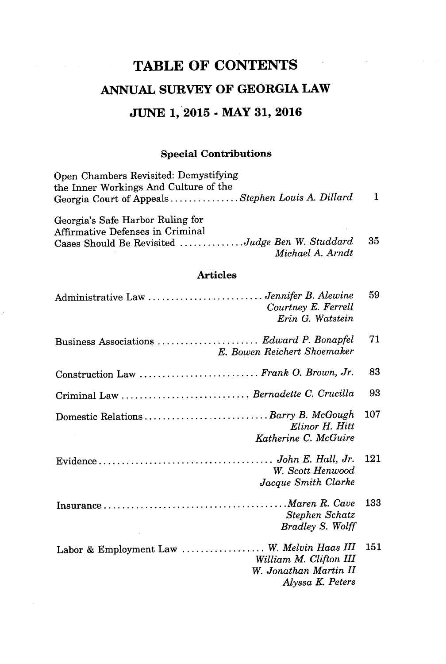# **TABLE OF CONTENTS ANNUAL SURVEY OF GEORGIA LAW JUNE 1, 2015 - MAY 31, 2016**

## **Special Contributions**

| $\mathbf 1$ |
|-------------|
|             |
|             |
| 35          |
|             |

### **Articles**

| Administrative Law  Jennifer B. Alewine<br>Courtney E. Ferrell<br>Erin G. Watstein                                | 59  |
|-------------------------------------------------------------------------------------------------------------------|-----|
| Business Associations  Edward P. Bonapfel<br>E. Bowen Reichert Shoemaker                                          | 71  |
| Construction Law  Frank O. Brown, Jr.                                                                             | 83  |
| Criminal Law  Bernadette C. Crucilla                                                                              | 93  |
| Domestic Relations  Barry B. McGough<br>Elinor H. Hitt<br>Katherine C. McGuire                                    | 107 |
| W. Scott Henwood<br>Jacque Smith Clarke                                                                           | 121 |
| Stephen Schatz<br><b>Bradley S. Wolff</b>                                                                         | 133 |
| Labor & Employment Law  W. Melvin Haas III<br>William M. Clifton III<br>W. Jonathan Martin II<br>Alyssa K. Peters | 151 |